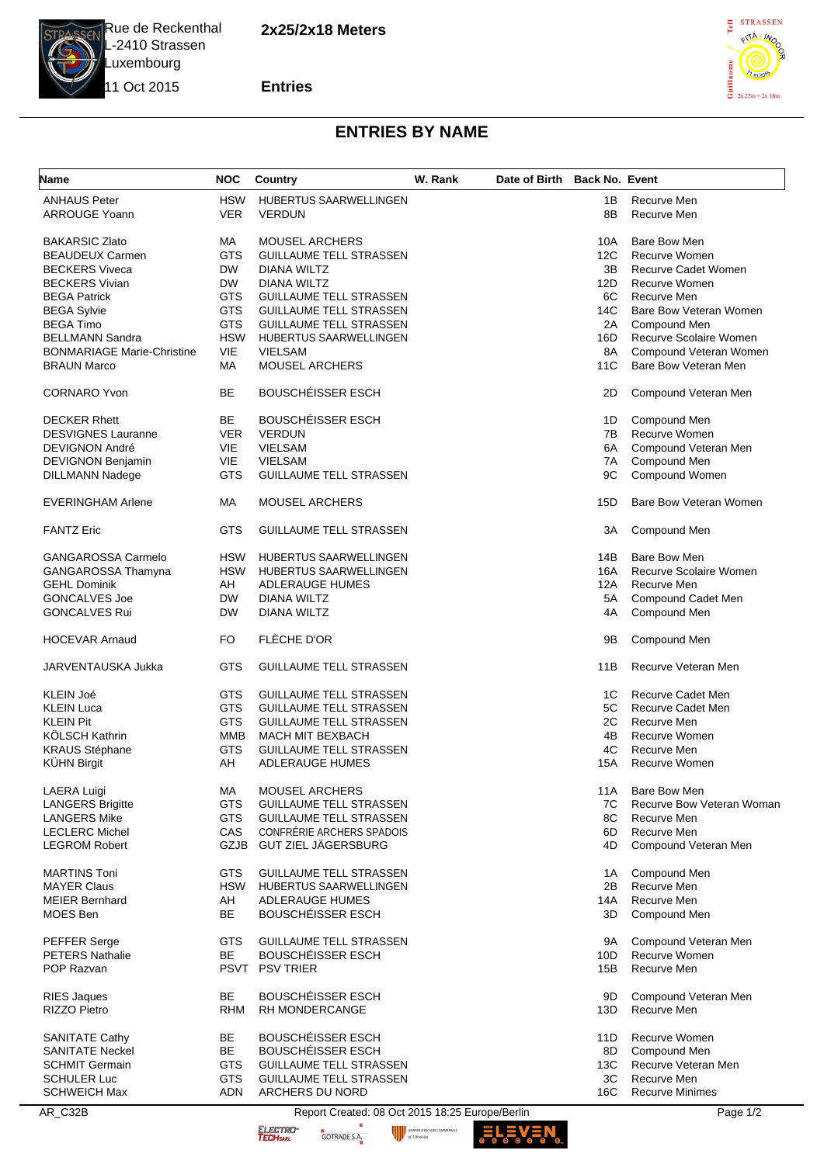**2x25/2x18 Meters**



L-2410 Strassen Luxembourg 11 Oct 2015

**Entries**



## **ENTRIES BY NAME**

| <b>Name</b>                       | <b>NOC</b> | <b>Country</b>                 | W. Rank | Date of Birth Back No. Event |          |                             |
|-----------------------------------|------------|--------------------------------|---------|------------------------------|----------|-----------------------------|
| <b>ANHAUS Peter</b>               | <b>HSW</b> | HUBERTUS SAARWELLINGEN         |         |                              | 1B       | Recurve Men                 |
| <b>ARROUGE Yoann</b>              | <b>VER</b> | <b>VERDUN</b>                  |         |                              | 8B       | Recurve Men                 |
| <b>BAKARSIC Zlato</b>             | МA         | <b>MOUSEL ARCHERS</b>          |         |                              | 10A      | Bare Bow Men                |
| <b>BEAUDEUX Carmen</b>            | <b>GTS</b> | <b>GUILLAUME TELL STRASSEN</b> |         |                              | 12C      | Recurve Women               |
| <b>BECKERS Viveca</b>             | <b>DW</b>  | DIANA WILTZ                    |         |                              | 3B       | Recurve Cadet Women         |
| <b>BECKERS Vivian</b>             | <b>DW</b>  | <b>DIANA WILTZ</b>             |         |                              | 12D      | Recurve Women               |
| <b>BEGA Patrick</b>               | <b>GTS</b> | <b>GUILLAUME TELL STRASSEN</b> |         |                              | 6C       | Recurve Men                 |
| <b>BEGA Sylvie</b>                | <b>GTS</b> | <b>GUILLAUME TELL STRASSEN</b> |         |                              | 14C      | Bare Bow Veteran Women      |
| <b>BEGA Timo</b>                  | <b>GTS</b> | <b>GUILLAUME TELL STRASSEN</b> |         |                              | 2A       | Compound Men                |
| <b>BELLMANN Sandra</b>            | <b>HSW</b> | HUBERTUS SAARWELLINGEN         |         |                              | 16D      | Recurve Scolaire Women      |
| <b>BONMARIAGE Marie-Christine</b> | VIE        | <b>VIELSAM</b>                 |         |                              | 8A       | Compound Veteran Women      |
| <b>BRAUN Marco</b>                | МA         | <b>MOUSEL ARCHERS</b>          |         |                              | 11C      | Bare Bow Veteran Men        |
|                                   |            |                                |         |                              |          |                             |
| <b>CORNARO Yvon</b>               | ВE         | <b>BOUSCHÉISSER ESCH</b>       |         |                              | 2D       | Compound Veteran Men        |
| <b>DECKER Rhett</b>               | BE         | <b>BOUSCHÉISSER ESCH</b>       |         |                              | 1D       | Compound Men                |
| <b>DESVIGNES Lauranne</b>         | <b>VER</b> | <b>VERDUN</b>                  |         |                              | 7B       | <b>Recurve Women</b>        |
| <b>DEVIGNON André</b>             | <b>VIE</b> | <b>VIELSAM</b>                 |         |                              | 6A       | Compound Veteran Men        |
| DEVIGNON Benjamin                 | VIE        | <b>VIELSAM</b>                 |         |                              | 7A       | Compound Men                |
| DILLMANN Nadege                   | <b>GTS</b> | <b>GUILLAUME TELL STRASSEN</b> |         |                              | 9C       | Compound Women              |
|                                   |            |                                |         |                              |          |                             |
| <b>EVERINGHAM Arlene</b>          | МA         | <b>MOUSEL ARCHERS</b>          |         |                              | 15D      | Bare Bow Veteran Women      |
| <b>FANTZ Eric</b>                 | <b>GTS</b> | <b>GUILLAUME TELL STRASSEN</b> |         |                              | ЗΑ       | Compound Men                |
| <b>GANGAROSSA Carmelo</b>         | <b>HSW</b> | HUBERTUS SAARWELLINGEN         |         |                              | 14B      | Bare Bow Men                |
| GANGAROSSA Thamyna                | <b>HSW</b> | HUBERTUS SAARWELLINGEN         |         |                              | 16A      | Recurve Scolaire Women      |
| <b>GEHL Dominik</b>               | AH         | <b>ADLERAUGE HUMES</b>         |         |                              | 12A      | Recurve Men                 |
| <b>GONCALVES Joe</b>              | <b>DW</b>  | DIANA WILTZ                    |         |                              | 5A       | Compound Cadet Men          |
| <b>GONCALVES Rui</b>              | <b>DW</b>  | <b>DIANA WILTZ</b>             |         |                              | 4A       | Compound Men                |
| <b>HOCEVAR Arnaud</b>             | FO         | FLÈCHE D'OR                    |         |                              | 9Β       | Compound Men                |
| JARVENTAUSKA Jukka                | GTS        | <b>GUILLAUME TELL STRASSEN</b> |         |                              | 11B      | Recurve Veteran Men         |
|                                   |            |                                |         |                              |          |                             |
| KLEIN Joé                         | GTS        | <b>GUILLAUME TELL STRASSEN</b> |         |                              | 1C       | Recurve Cadet Men           |
| <b>KLEIN Luca</b>                 | <b>GTS</b> | <b>GUILLAUME TELL STRASSEN</b> |         |                              | 5C       | Recurve Cadet Men           |
| <b>KLEIN Pit</b>                  | <b>GTS</b> | <b>GUILLAUME TELL STRASSEN</b> |         |                              | 2C       | Recurve Men                 |
| KÖLSCH Kathrin                    | MMB        | <b>MACH MIT BEXBACH</b>        |         |                              | 4B       | Recurve Women               |
| <b>KRAUS Stéphane</b>             | <b>GTS</b> | <b>GUILLAUME TELL STRASSEN</b> |         |                              | 4C       | Recurve Men                 |
| <b>KÜHN Birgit</b>                | AH         | <b>ADLERAUGE HUMES</b>         |         |                              | 15A      | Recurve Women               |
| LAERA Luigi                       | МA         | MOUSEL ARCHERS                 |         |                              | 11A      | <b>Bare Bow Men</b>         |
| <b>LANGERS Brigitte</b>           | <b>GTS</b> | <b>GUILLAUME TELL STRASSEN</b> |         |                              | 7C       | Recurve Bow Veteran Woman   |
| <b>LANGERS Mike</b>               | <b>GTS</b> | <b>GUILLAUME TELL STRASSEN</b> |         |                              | 8C       | Recurve Men                 |
| <b>LECLERC Michel</b>             | CAS        | CONFRÉRIE ARCHERS SPADOIS      |         |                              | 6D       | Recurve Men                 |
| <b>LEGROM Robert</b>              |            | GZJB GUT ZIEL JÄGERSBURG       |         |                              | 4D       | Compound Veteran Men        |
|                                   |            |                                |         |                              |          |                             |
| <b>MARTINS Toni</b>               | <b>GTS</b> | <b>GUILLAUME TELL STRASSEN</b> |         |                              | 1A<br>2B | Compound Men<br>Recurve Men |
| <b>MAYER Claus</b>                | <b>HSW</b> | HUBERTUS SAARWELLINGEN         |         |                              |          |                             |
| <b>MEIER Bernhard</b>             | AH         | <b>ADLERAUGE HUMES</b>         |         |                              | 14A      | Recurve Men                 |
| <b>MOES Ben</b>                   | BE         | <b>BOUSCHÉISSER ESCH</b>       |         |                              | 3D.      | Compound Men                |
| PEFFER Serge                      | <b>GTS</b> | <b>GUILLAUME TELL STRASSEN</b> |         |                              | 9A       | Compound Veteran Men        |
| <b>PETERS Nathalie</b>            | <b>BE</b>  | <b>BOUSCHÉISSER ESCH</b>       |         |                              | 10D      | Recurve Women               |
| POP Razvan                        |            | PSVT PSV TRIER                 |         |                              | 15B      | Recurve Men                 |
|                                   |            |                                |         |                              |          |                             |
| <b>RIES Jaques</b>                | BE         | <b>BOUSCHÉISSER ESCH</b>       |         |                              | 9D       | Compound Veteran Men        |
| RIZZO Pietro                      | <b>RHM</b> | <b>RH MONDERCANGE</b>          |         |                              | 13D      | Recurve Men                 |
| <b>SANITATE Cathy</b>             | BE         | <b>BOUSCHÉISSER ESCH</b>       |         |                              | 11D      | Recurve Women               |
| <b>SANITATE Neckel</b>            | BE         | <b>BOUSCHÉISSER ESCH</b>       |         |                              | 8D       | Compound Men                |
| <b>SCHMIT Germain</b>             | GTS        | <b>GUILLAUME TELL STRASSEN</b> |         |                              | 13C      | Recurve Veteran Men         |
| <b>SCHULER Luc</b>                | <b>GTS</b> | <b>GUILLAUME TELL STRASSEN</b> |         |                              | 3C       | Recurve Men                 |
| <b>SCHWEICH Max</b>               | ADN        | ARCHERS DU NORD                |         |                              | 16C      | <b>Recurve Minimes</b>      |
|                                   |            |                                |         |                              |          |                             |

AR\_C32B Report Created: 08 Oct 2015 18:25 Europe/Berlin Page 1/2<br>
Report Created: 08 Oct 2015 18:25 Europe/Berlin Page 1/2<br>
Report Created: 08 Oct 2015 18:25 Europe/Berlin Page 1/2

ADMINISTRATI

ELECTRO<sup>.</sup><br>T**ECH**sarl

**ELEV:**  $\frac{1}{2}$ OMMUNALE